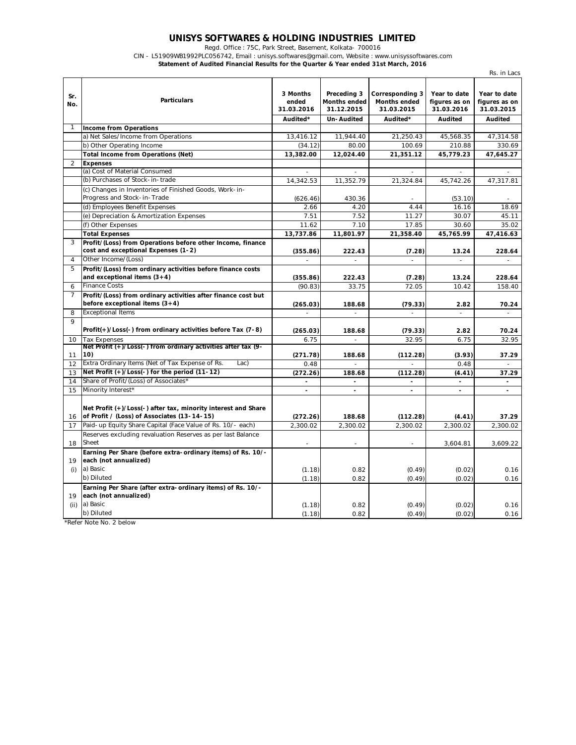## **UNISYS SOFTWARES & HOLDING INDUSTRIES LIMITED**

Regd. Office : 75C, Park Street, Basement, Kolkata- 700016

CIN - L51909WB1992PLC056742, Email : unisys.softwares@gmail.com, Website : www.unisyssoftwares.com

**Statement of Audited Financial Results for the Quarter & Year ended 31st March, 2016**

|                |                                                                                                              |                                             |                                                                |                                                                  |                                                        | Rs. in Lacs                                            |
|----------------|--------------------------------------------------------------------------------------------------------------|---------------------------------------------|----------------------------------------------------------------|------------------------------------------------------------------|--------------------------------------------------------|--------------------------------------------------------|
| Sr.<br>No.     | <b>Particulars</b>                                                                                           | 3 Months<br>ended<br>31.03.2016<br>Audited* | Preceding 3<br><b>Months ended</b><br>31.12.2015<br>Un-Audited | Corresponding 3<br><b>Months ended</b><br>31.03.2015<br>Audited* | Year to date<br>figures as on<br>31.03.2016<br>Audited | Year to date<br>figures as on<br>31.03.2015<br>Audited |
|                | <b>Income from Operations</b>                                                                                |                                             |                                                                |                                                                  |                                                        |                                                        |
|                | a) Net Sales/Income from Operations                                                                          | 13,416.12                                   | 11.944.40                                                      | 21,250.43                                                        | 45,568.35                                              | 47,314.58                                              |
|                | b) Other Operating Income                                                                                    | (34.12)                                     | 80.00                                                          | 100.69                                                           | 210.88                                                 | 330.69                                                 |
|                | <b>Total Income from Operations (Net)</b>                                                                    | 13,382.00                                   | 12,024.40                                                      | 21,351.12                                                        | 45,779.23                                              | 47,645.27                                              |
| $\overline{2}$ | <b>Expenses</b>                                                                                              |                                             |                                                                |                                                                  |                                                        |                                                        |
|                | (a) Cost of Material Consumed                                                                                |                                             |                                                                |                                                                  |                                                        |                                                        |
|                | (b) Purchases of Stock-in-trade                                                                              | 14,342.53                                   | 11,352.79                                                      | 21,324.84                                                        | 45,742.26                                              | 47,317.81                                              |
|                | (c) Changes in Inventories of Finished Goods, Work-in-                                                       |                                             |                                                                |                                                                  |                                                        |                                                        |
|                | Progress and Stock-in-Trade                                                                                  | (626.46)                                    | 430.36                                                         |                                                                  | (53.10)                                                |                                                        |
|                | (d) Employees Benefit Expenses                                                                               | 2.66                                        | 4.20                                                           | 4.44                                                             | 16.16                                                  | 18.69                                                  |
|                | (e) Depreciation & Amortization Expenses                                                                     | 7.51                                        | 7.52                                                           | 11.27                                                            | 30.07                                                  | 45.11                                                  |
|                | (f) Other Expenses                                                                                           | 11.62                                       | 7.10                                                           | 17.85                                                            | 30.60                                                  | 35.02                                                  |
|                | <b>Total Expenses</b>                                                                                        | 13,737.86                                   | 11,801.97                                                      | 21,358.40                                                        | 45,765.99                                              | 47,416.63                                              |
| 3              | Profit/(Loss) from Operations before other Income, finance                                                   |                                             |                                                                |                                                                  |                                                        |                                                        |
|                | cost and exceptional Expenses (1-2)                                                                          | (355.86)                                    | 222.43                                                         | (7.28)                                                           | 13.24                                                  | 228.64                                                 |
| $\overline{4}$ | Other Income/(Loss)                                                                                          |                                             | $\overline{a}$                                                 |                                                                  |                                                        |                                                        |
| 5              | Profit/(Loss) from ordinary activities before finance costs                                                  |                                             |                                                                |                                                                  |                                                        |                                                        |
|                | and exceptional items $(3+4)$                                                                                | (355.86)                                    | 222.43                                                         | (7.28)                                                           | 13.24                                                  | 228.64                                                 |
| 6              | <b>Finance Costs</b>                                                                                         | (90.83)                                     | 33.75                                                          | 72.05                                                            | 10.42                                                  | 158.40                                                 |
| 7              | Profit/(Loss) from ordinary activities after finance cost but                                                |                                             |                                                                |                                                                  |                                                        |                                                        |
|                | before exceptional items $(3+4)$                                                                             | (265.03)                                    | 188.68                                                         | (79.33)                                                          | 2.82                                                   | 70.24                                                  |
| 8              | <b>Exceptional Items</b>                                                                                     | $\overline{a}$                              | $\mathbf{r}$                                                   | $\overline{a}$                                                   | $\overline{a}$                                         | $\bar{a}$                                              |
| $\overline{Q}$ |                                                                                                              |                                             |                                                                |                                                                  |                                                        |                                                        |
|                | Profit(+)/Loss(-) from ordinary activities before Tax (7-8)                                                  | (265.03)                                    | 188.68                                                         | (79.33)                                                          | 2.82                                                   | 70.24                                                  |
| 10             | <b>Tax Expenses</b>                                                                                          | 6.75                                        |                                                                | 32.95                                                            | 6.75                                                   | 32.95                                                  |
|                | Net Profit (+)/Loss(-) from ordinary activities after tax (9-                                                |                                             |                                                                |                                                                  |                                                        |                                                        |
| 11             | 10)                                                                                                          | (271.78)                                    | 188.68                                                         | (112.28)                                                         | (3.93)                                                 | 37.29                                                  |
| 12             | Extra Ordinary Items (Net of Tax Expense of Rs.<br>Lac                                                       | 0.48                                        |                                                                |                                                                  | 0.48                                                   |                                                        |
| 13             | Net Profit (+)/Loss(-) for the period (11-12)                                                                | (272.26)                                    | 188.68                                                         | (112.28)                                                         | (4.41)                                                 | 37.29                                                  |
| 14             | Share of Profit/(Loss) of Associates*                                                                        | $\overline{\phantom{0}}$                    | $\blacksquare$                                                 | $\overline{\phantom{0}}$                                         | $\overline{\phantom{a}}$                               | $\blacksquare$                                         |
| 15             | Minority Interest*                                                                                           | $\overline{\phantom{a}}$                    | $\overline{\phantom{a}}$                                       | $\blacksquare$                                                   | $\blacksquare$                                         | $\overline{\phantom{a}}$                               |
| 16             | Net Profit (+)/Loss(-) after tax, minority interest and Share<br>of Profit / (Loss) of Associates (13-14-15) | (272.26)                                    | 188.68                                                         | (112.28)                                                         | (4.41)                                                 | 37.29                                                  |
| 17             | Paid-up Equity Share Capital (Face Value of Rs. 10/- each)                                                   | 2,300.02                                    | 2,300.02                                                       | 2,300.02                                                         | 2,300.02                                               | 2,300.02                                               |
| 18             | Reserves excluding revaluation Reserves as per last Balance<br>Sheet                                         |                                             | $\overline{a}$                                                 |                                                                  | 3,604.81                                               | 3,609.22                                               |
| 19             | Earning Per Share (before extra-ordinary items) of Rs. 10/-<br>each (not annualized)                         |                                             |                                                                |                                                                  |                                                        |                                                        |
| (i)            | a) Basic                                                                                                     | (1.18)                                      | 0.82                                                           | (0.49)                                                           | (0.02)                                                 | 0.16                                                   |
|                | b) Diluted                                                                                                   | (1.18)                                      | 0.82                                                           | (0.49)                                                           | (0.02)                                                 | 0.16                                                   |
| 19             | Earning Per Share (after extra-ordinary items) of Rs. 10/-<br>each (not annualized)                          |                                             |                                                                |                                                                  |                                                        |                                                        |
| (ii)           | a) Basic                                                                                                     | (1.18)                                      | 0.82                                                           | (0.49)                                                           | (0.02)                                                 | 0.16                                                   |
|                | b) Diluted                                                                                                   | (1.18)                                      | 0.82                                                           | (0.49)                                                           | (0.02)                                                 | 0.16                                                   |

\*Refer Note No. 2 below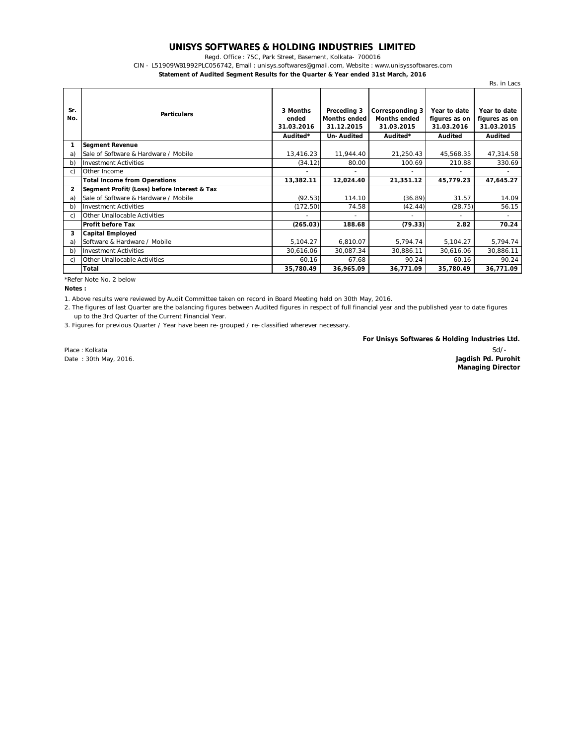## **UNISYS SOFTWARES & HOLDING INDUSTRIES LIMITED**

Regd. Office : 75C, Park Street, Basement, Kolkata- 700016

CIN - L51909WB1992PLC056742, Email : unisys.softwares@gmail.com, Website : www.unisyssoftwares.com

**Statement of Audited Segment Results for the Quarter & Year ended 31st March, 2016**

|                |                                             |                                             |                                                                |                                                                  |                                                        | Rs. in Lacs                                            |
|----------------|---------------------------------------------|---------------------------------------------|----------------------------------------------------------------|------------------------------------------------------------------|--------------------------------------------------------|--------------------------------------------------------|
| Sr.<br>No.     | <b>Particulars</b>                          | 3 Months<br>ended<br>31.03.2016<br>Audited* | Preceding 3<br><b>Months ended</b><br>31.12.2015<br>Un-Audited | Corresponding 3<br><b>Months ended</b><br>31.03.2015<br>Audited* | Year to date<br>figures as on<br>31.03.2016<br>Audited | Year to date<br>figures as on<br>31.03.2015<br>Audited |
| 1              | <b>Segment Revenue</b>                      |                                             |                                                                |                                                                  |                                                        |                                                        |
| a              | Sale of Software & Hardware / Mobile        | 13,416.23                                   | 11,944.40                                                      | 21,250.43                                                        | 45,568.35                                              | 47,314.58                                              |
| b)             | <b>Investment Activities</b>                | (34.12)                                     | 80.00                                                          | 100.69                                                           | 210.88                                                 | 330.69                                                 |
| C)             | Other Income                                |                                             |                                                                | $\overline{\phantom{a}}$                                         | $\overline{\phantom{0}}$                               |                                                        |
|                | <b>Total Income from Operations</b>         | 13,382.11                                   | 12,024.40                                                      | 21,351.12                                                        | 45,779.23                                              | 47,645.27                                              |
| $\overline{2}$ | Segment Profit/(Loss) before Interest & Tax |                                             |                                                                |                                                                  |                                                        |                                                        |
| a)             | Sale of Software & Hardware / Mobile        | (92.53)                                     | 114.10                                                         | (36.89)                                                          | 31.57                                                  | 14.09                                                  |
| b)             | <b>Investment Activities</b>                | (172.50)                                    | 74.58                                                          | (42.44)                                                          | (28.75)                                                | 56.15                                                  |
| C)             | Other Unallocable Activities                |                                             |                                                                | $\overline{\phantom{a}}$                                         | $\overline{\phantom{0}}$                               | $\overline{\phantom{0}}$                               |
|                | <b>Profit before Tax</b>                    | (265.03)                                    | 188.68                                                         | (79.33)                                                          | 2.82                                                   | 70.24                                                  |
| 3              | Capital Employed                            |                                             |                                                                |                                                                  |                                                        |                                                        |
| a              | Software & Hardware / Mobile                | 5,104.27                                    | 6,810.07                                                       | 5,794.74                                                         | 5,104.27                                               | 5,794.74                                               |
| b)             | <b>Investment Activities</b>                | 30,616.06                                   | 30,087.34                                                      | 30,886.11                                                        | 30,616.06                                              | 30,886.11                                              |
| C)             | Other Unallocable Activities                | 60.16                                       | 67.68                                                          | 90.24                                                            | 60.16                                                  | 90.24                                                  |
|                | Total                                       | 35,780.49                                   | 36,965.09                                                      | 36,771.09                                                        | 35.780.49                                              | 36,771.09                                              |

\*Refer Note No. 2 below

**Notes :**

1. Above results were reviewed by Audit Committee taken on record in Board Meeting held on 30th May, 2016.

2. The figures of last Quarter are the balancing figures between Audited figures in respect of full financial year and the published year to date figures up to the 3rd Quarter of the Current Financial Year.

3. Figures for previous Quarter / Year have been re-grouped / re-classified wherever necessary.

**For Unisys Softwares & Holding Industries Ltd.**

Place : Kolkata Date : 30th May, 2016.

Sd/- **Jagdish Pd. Purohit Managing Director**